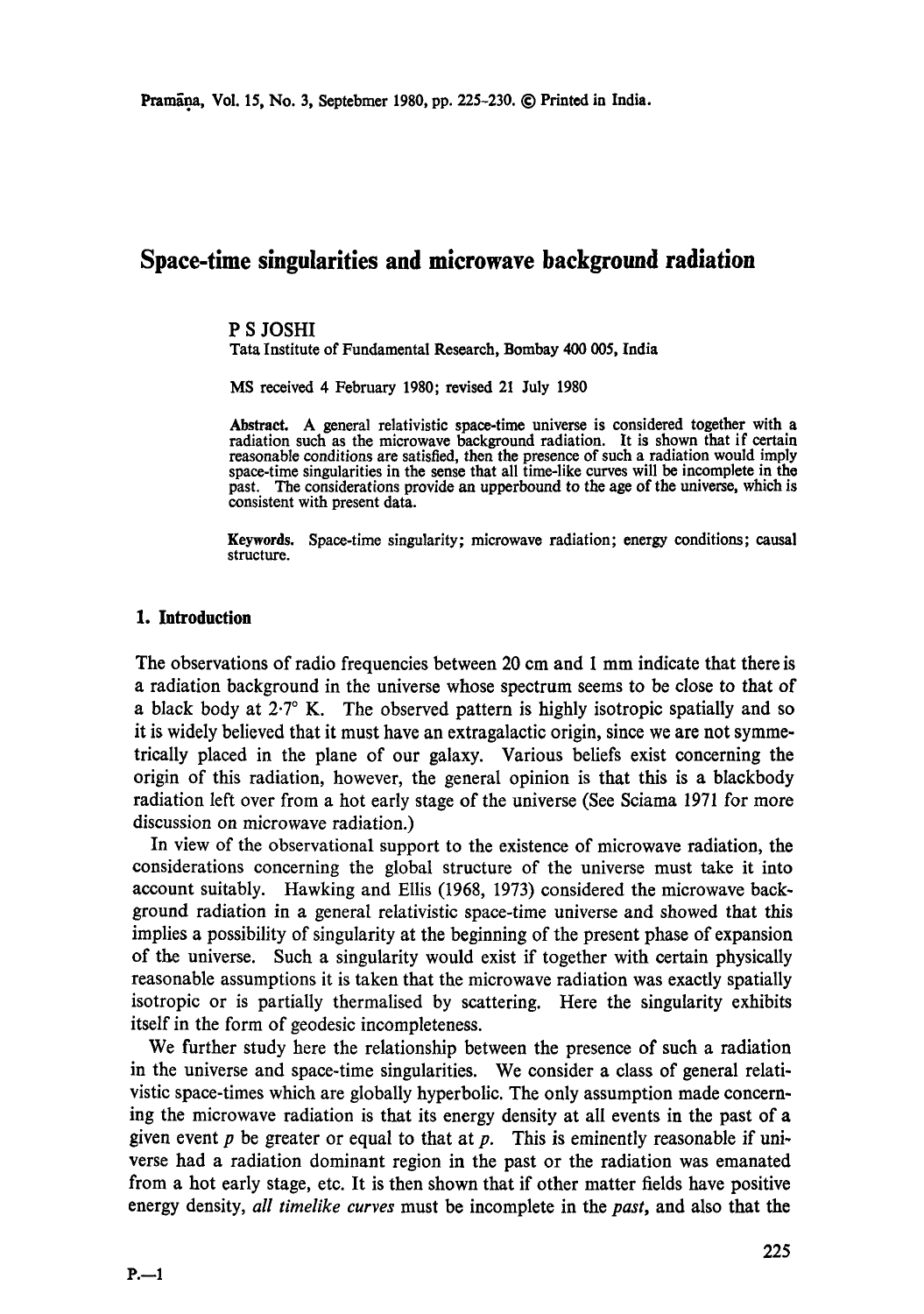# **Space-time singularities and microwave background radiation**

### P S JOSHI

Tata Institute of Fundamental Research, Bombay 400 005, **India** 

MS received 4 February 1980; revised 21 July 1980

Abstract. A general relativistic space-time universe is considered together with a radiation such as the microwave background radiation. It is shown that if certain reasonable conditions are satisfied, then the presence of such a radiation would imply space-time singularities in the sense that all time-like curves will be incomplete in the past. The considerations provide an upperbound to the age of the universe, which is consistent with present data.

**Keywords.** Space-time singularity; microwave radiation; energy conditions; causal structure.

#### **1.** Introduction

The observations of radio frequencies between 20 cm and I mm indicate that there is a radiation background in the universe whose spectrum seems to be close to that of a black body at  $2.7^\circ$  K. The observed pattern is highly isotropic spatially and so it is widely believed that it must have an extragalactic origin, since we are not symmetrically placed in the plane of our galaxy. Various beliefs exist concerning the origin of this radiation, however, the general opinion is that this is a blackbody radiation left over from a hot early stage of the universe (See Sciama 1971 for more discussion on microwave radiation.)

In view of the observational support to the existence of microwave radiation, the considerations concerning the global structure of the universe must take it into account suitably. Hawking and Ellis (1968, 1973) considered the microwave background radiation in a general relativistic space-time universe and showed that this implies a possibility of singularity at the beginning of the present phase of expansion of the universe. Such a singularity would exist if together with certain physically reasonable assumptions it is taken that the microwave radiation was exactly spatially isotropic or is partially thermalised by scattering. Here the singularity exhibits itself in the form of geodesic incompleteness.

We further study here the relationship between the presence of such a radiation in the universe and space-time singularities. We consider a class of general relativistic space-times which are globally hyperbolic. The only assumption made concerning the microwave radiation is that its energy density at all events in the past of a given event  $p$  be greater or equal to that at  $p$ . This is eminently reasonable if universe had a radiation dominant region in the past or the radiation was emanated from a hot early stage, etc. It is then shown that if other matter fields have positive energy density, *all timelike curves* must be incomplete in the *past,* and also that the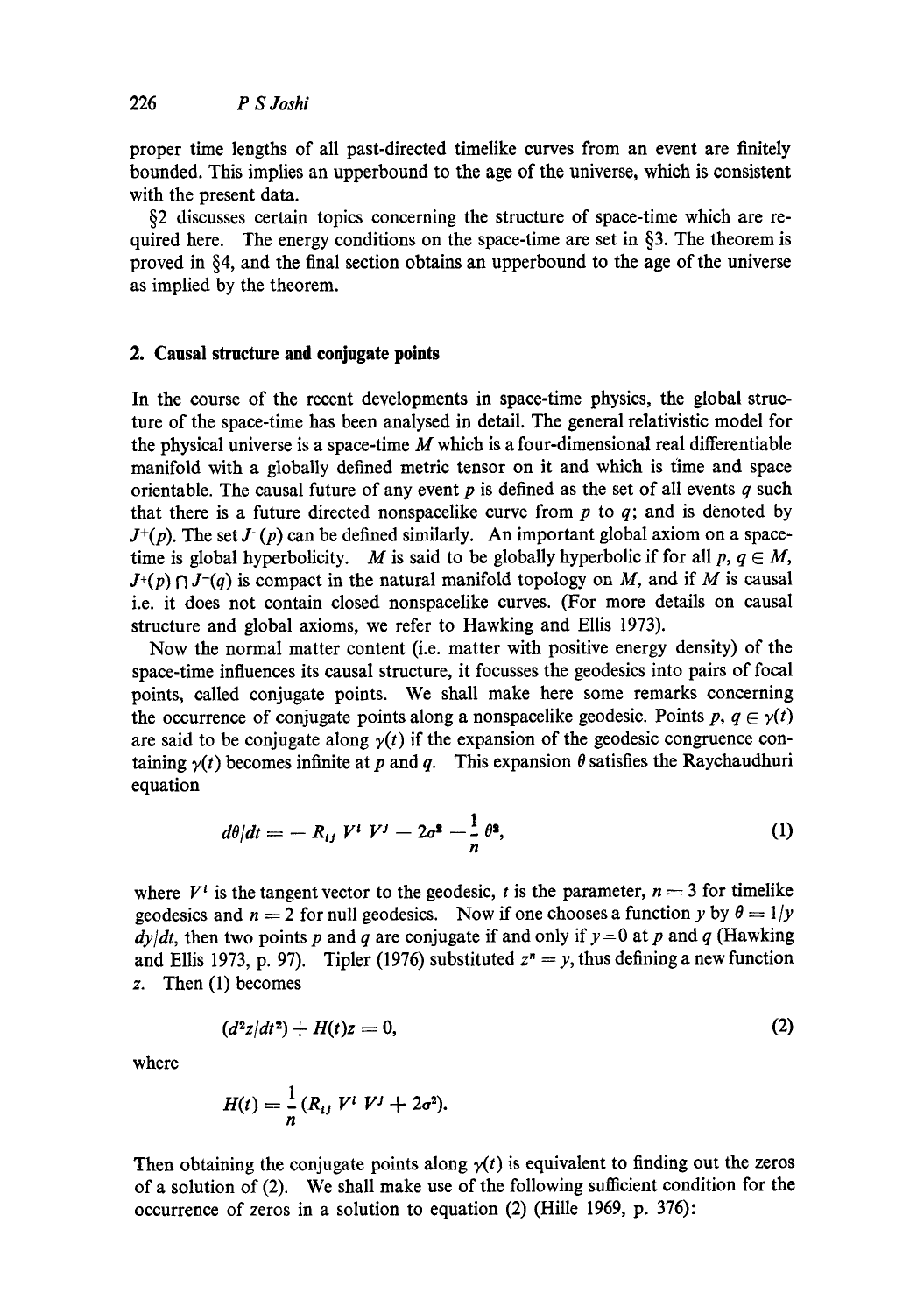proper time lengths of all past-directed timelike curves from an event are finitely bounded. This implies an upperbound to the age of the universe, which is consistent with the present data.

§2 discusses certain topics concerning the structure of space-time which are required here. The energy conditions on the space-time are set in §3. The theorem is proved in §4, and the final section obtains an upperbound to the age of the universe as implied by the theorem.

## **2. Causal structure and conjugate points**

In the course of the recent developments in space-time physics, the global structure of the space-time has been analysed in detail. The general relativistic model for the physical universe is a space-time  $M$  which is a four-dimensional real differentiable manifold with a globally defined metric tensor on it and which is time and space orientable. The causal future of any event  $p$  is defined as the set of all events  $q$  such that there is a future directed nonspacelike curve from  $p$  to  $q$ ; and is denoted by  $J^+(p)$ . The set  $J^-(p)$  can be defined similarly. An important global axiom on a spacetime is global hyperbolicity. M is said to be globally hyperbolic if for all  $p, q \in M$ ,  $J^+(p) \cap J^-(q)$  is compact in the natural manifold topology on M, and if M is causal i.e. it does not contain closed nonspacelike curves. (For more details on causal structure and global axioms, we refer to Hawking and Ellis 1973).

Now the normal matter content (i.e. matter with positive energy density) of the space-time influences its causal structure, it focusses the geodesics into pairs of focal points, called conjugate points. We shall make here some remarks concerning the occurrence of conjugate points along a nonspacelike geodesic. Points  $p, q \in \gamma(t)$ are said to be conjugate along  $\gamma(t)$  if the expansion of the geodesic congruence containing  $\gamma(t)$  becomes infinite at p and q. This expansion  $\theta$  satisfies the Raychaudhuri equation

$$
d\theta/dt = - R_{ij} V^i V^j - 2\sigma^2 - \frac{1}{n} \theta^2,
$$
 (1)

where  $V^i$  is the tangent vector to the geodesic, t is the parameter,  $n = 3$  for timelike geodesics and  $n = 2$  for null geodesics. Now if one chooses a function y by  $\theta = 1/y$  $dy/dt$ , then two points p and q are conjugate if and only if  $y=0$  at p and q (Hawking and Ellis 1973, p. 97). Tipler (1976) substituted  $z^n = y$ , thus defining a new function z. Then (1) becomes

$$
(d^2z/dt^2) + H(t)z = 0, \t\t(2)
$$

where

$$
H(t) = \frac{1}{n} (R_{ij} V^i V^j + 2\sigma^2).
$$

Then obtaining the conjugate points along  $y(t)$  is equivalent to finding out the zeros of a solution of (2). We shall make use of the following sufficient condition for the occurrence of zeros in a solution to equation (2) (Hille 1969, p. 376):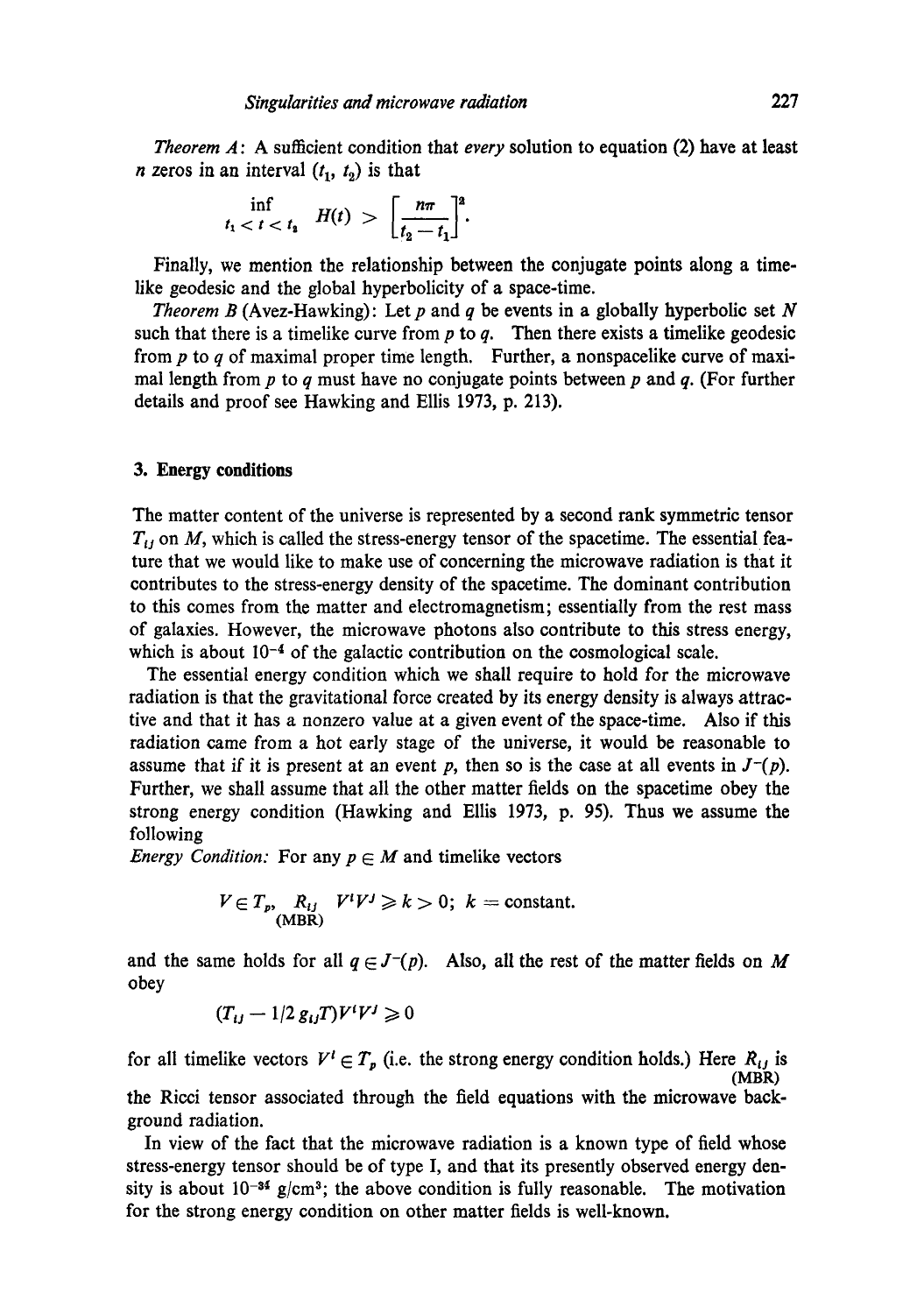*Theorem A*: A sufficient condition that *every* solution to equation (2) have at least *n* zeros in an interval  $(t_1, t_2)$  is that

$$
\inf_{t_1 < t < t_1} H(t) > \left[\frac{n\pi}{t_2 - t_1}\right]^2.
$$

Finally, we mention the relationship between the conjugate points along a timelike geodesic and the global hyperbolicity of a space-time.

*Theorem B* (Avez-Hawking): Let  $p$  and  $q$  be events in a globally hyperbolic set  $N$ such that there is a timelike curve from  $p$  to  $q$ . Then there exists a timelike geodesic from  $p$  to  $q$  of maximal proper time length. Further, a nonspacelike curve of maximal length from  $p$  to  $q$  must have no conjugate points between  $p$  and  $q$ . (For further details and proof see Hawking and Ellis 1973, p. 213).

#### **3. Energy conditions**

The matter content of the universe is represented by a second rank symmetric tensor  $T_{ij}$  on M, which is called the stress-energy tensor of the spacetime. The essential feature that we would like to make use of concerning the microwave radiation is that it contributes to the stress-energy density of the spacetime. The dominant contribution to this comes from the matter and electromagnetism; essentially from the rest mass of galaxies. However, the microwave photons also contribute to this stress energy, which is about  $10<sup>-4</sup>$  of the galactic contribution on the cosmological scale.

The essential energy condition which we shall require to hold for the microwave radiation is that the gravitational force created by its energy density is always attractive and that it has a nonzero value at a given event of the space-time. Also if this radiation came from a hot early stage of the universe, it would be reasonable to assume that if it is present at an event  $p$ , then so is the case at all events in  $J^-(p)$ . Further, we shall assume that all the other matter fields on the spaeetime obey the strong energy condition (Hawking and Ellis 1973, p. 95). Thus we assume the following

*Energy Condition:* For any  $p \in M$  and timelike vectors

$$
V \in T_p, \mathop{R_{ij}}_{\text{(MBR)}} V^i V^j \geq k > 0; k = \text{constant}.
$$

and the same holds for all  $q \in J^-(p)$ . Also, all the rest of the matter fields on M obey

$$
(T_{ij}-1/2 g_{ij}T)V^iV^j\geqslant 0
$$

for all timelike vectors  $V' \in T_p$  (i.e. the strong energy condition holds.) Here  $R_{ij}$  is (MBR)

the Ricci tensor associated through the field equations with the microwave background radiation.

In view of the fact that the microwave radiation is a known type of field whose stress-energy tensor should be of type I, and that its presently observed energy density is about  $10^{-34}$  g/cm<sup>3</sup>; the above condition is fully reasonable. The motivation for the strong energy condition on other matter fields is well-known.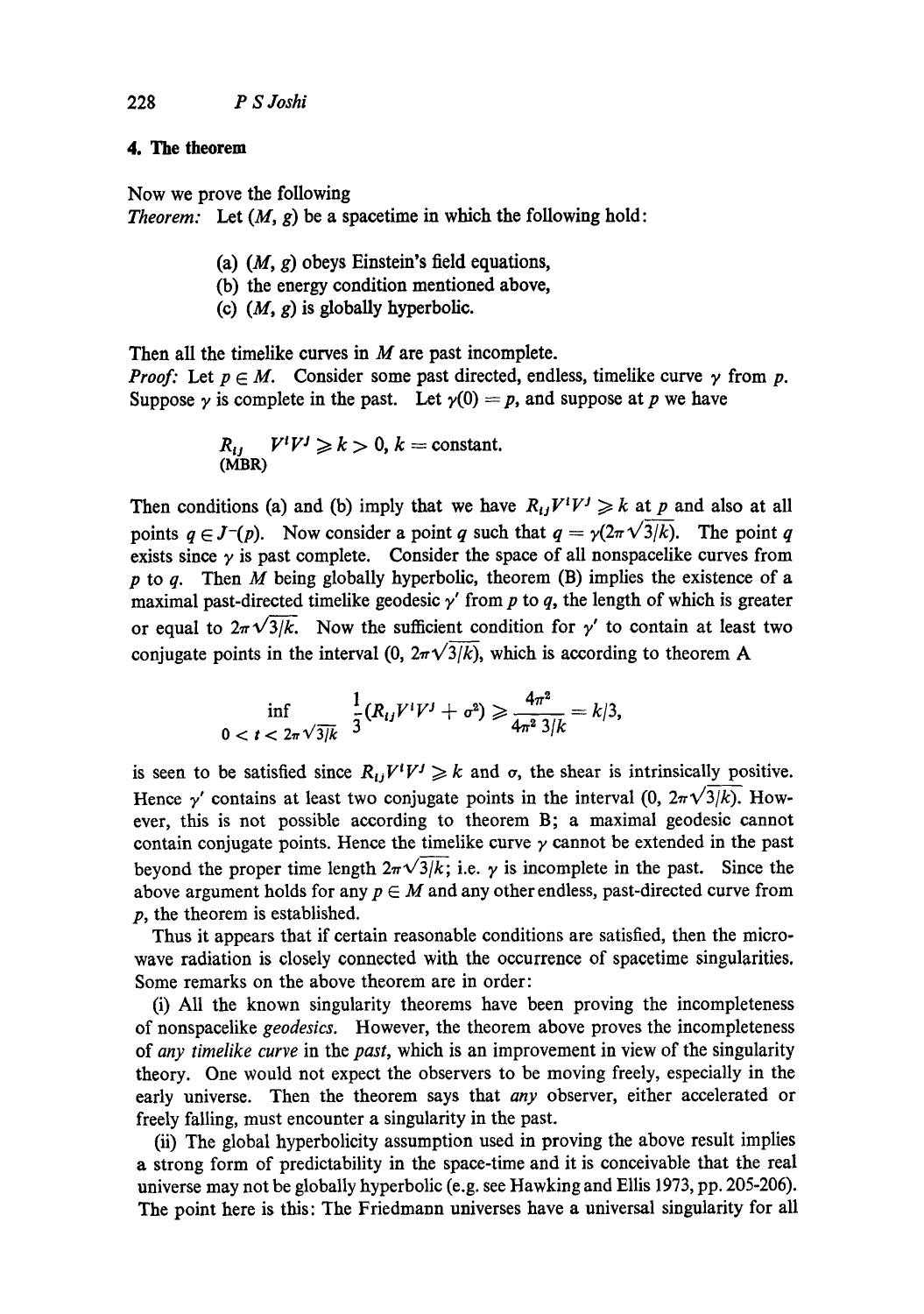## **4. The theorem**

Now we prove the following *Theorem:* Let  $(M, g)$  be a spacetime in which the following hold:

- (a)  $(M, g)$  obeys Einstein's field equations,
- (b) the energy condition mentioned above,
- (c)  $(M, g)$  is globally hyperbolic.

Then all the timelike curves in  $M$  are past incomplete. *Proof:* Let  $p \in M$ . Consider some past directed, endless, timelike curve  $\gamma$  from p. Suppose  $\gamma$  is complete in the past. Let  $\gamma(0) = p$ , and suppose at p we have

$$
R_{ij} V^{i}V^{j} \ge k > 0, k = \text{constant.}
$$
  
(MBR)

Then conditions (a) and (b) imply that we have  $R_{ij}V^iV^j \geq k$  at p and also at all points  $q \in J^-(p)$ . Now consider a point q such that  $q = \gamma(2\pi \sqrt{3}/k)$ . The point q exists since  $\gamma$  is past complete. Consider the space of all nonspacelike curves from p to q. Then M being globally hyperbolic, theorem  $(B)$  implies the existence of a maximal past-directed timelike geodesic  $\gamma'$  from p to q, the length of which is greater or equal to  $2\pi\sqrt{3/k}$ . Now the sufficient condition for y' to contain at least two conjugate points in the interval (0,  $2\pi\sqrt{3/k}$ ), which is according to theorem A

$$
\inf_{0 < t < 2\pi \sqrt{3/k}} \frac{1}{3} (R_{ij} V^{i} V^{j} + \sigma^{2}) \geqslant \frac{4\pi^{2}}{4\pi^{2} 3/k} = k/3,
$$

is seen to be satisfied since  $R_{ij}V^iV^j \ge k$  and  $\sigma$ , the shear is intrinsically positive. Hence  $\gamma'$  contains at least two conjugate points in the interval (0,  $2\pi\sqrt{3/k}$ ). However, this is not possible according to theorem B; a maximal geodesic cannot contain conjugate points. Hence the timelike curve  $\gamma$  cannot be extended in the past beyond the proper time length  $2\pi\sqrt{3/k}$ ; i.e.  $\gamma$  is incomplete in the past. Since the above argument holds for any  $p \in M$  and any other endless, past-directed curve from p, the theorem is established.

Thus it appears that if certain reasonable conditions are satisfied, then the microwave radiation is closely connected with the occurrence of spacetime singularities. Some remarks on the above theorem are in order:

(i) All the known singularity theorems have been proving the incompleteness of nonspacelike *geodesics.* However, the theorem above proves the incompleteness of *any timelike curve* in the *past,* which is an improvement in view of the singularity theory. One would not expect the observers to be moving freely, especially in the early universe. Then the theorem says that *any* observer, either accelerated or freely falling, must encounter a singularity in the past.

(ii) The global hyperbolicity assumption used in proving the above result implies a strong form of predictability in the space-time and it is conceivable that the real universe may not be globally hyperbolic (e.g. see Hawking and Ellis 1973, pp. 205-206). The point here is this: The Friedmann universes have a universal singularity for all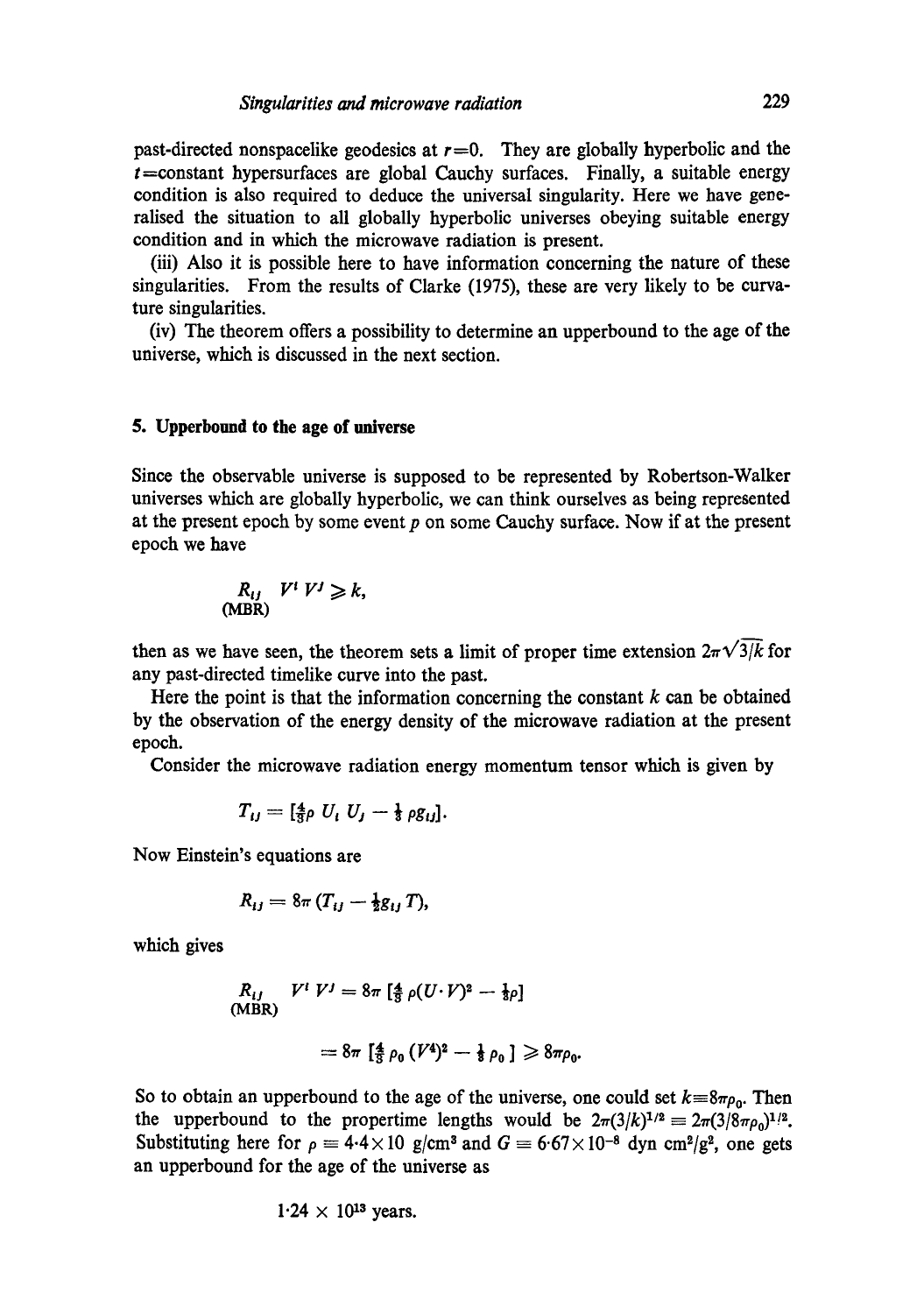past-directed nonspacelike geodesics at  $r=0$ . They are globally hyperbolic and the  $t$ =constant hypersurfaces are global Cauchy surfaces. Finally, a suitable energy condition is also required to deduce the universal singularity. Here we have generalised the situation to all globally hyperbolic universes obeying suitable energy condition and in which the microwave radiation is present.

(iii) Also it is possible here to have information concerning the nature of these singularities. From the results of Clarke (1975), these are very likely to be curvature singularities.

(iv) The theorem offers a possibility to determine an upperbound to the age of the universe, which is discussed in the next section.

#### **5. Upperbound to the age of universe**

Since the observable universe is supposed to be represented by Robertson-Walker universes which are globally hyperbolic, we can think ourselves as being represented at the present epoch by some event  $p$  on some Cauchy surface. Now if at the present epoch we have

$$
R_{ij} V^i V^j \ge k,
$$
 (MBR)

then as we have seen, the theorem sets a limit of proper time extension  $2\pi\sqrt{3/k}$  for any past-directed timelike curve into the past.

Here the point is that the information concerning the constant  $k$  can be obtained by the observation of the energy density of the microwave radiation at the present epoch.

Consider the microwave radiation energy momentum tensor which is given by

$$
T_{ij} = [\frac{4}{3}\rho U_i U_j - \frac{1}{3}\rho g_{ij}].
$$

Now Einstein's equations are

$$
R_{ij} = 8\pi (T_{ij} - \frac{1}{2}g_{ij}T),
$$

which gives

$$
R_{ij} \quad V^i \quad V^j = 8\pi \left[ \frac{4}{3} \rho (U \cdot V)^2 - \frac{1}{3} \rho \right]
$$
  
(MBR)  

$$
= 8\pi \left[ \frac{4}{3} \rho_0 \left( V^4 \right)^2 - \frac{1}{3} \rho_0 \right] \ge 8\pi \rho_0.
$$

So to obtain an upperbound to the age of the universe, one could set  $k=8\pi\rho_0$ . Then the upperbound to the propertime lengths would be  $2\pi(3/k)^{1/2} = 2\pi(3/8\pi\rho_0)^{1/2}$ . Substituting here for  $\rho = 4.4 \times 10$  g/cm<sup>3</sup> and  $G = 6.67 \times 10^{-8}$  dyn cm<sup>2</sup>/g<sup>2</sup>, one gets an upperbound for the age of the universe as

$$
1.24 \times 10^{13}
$$
 years.